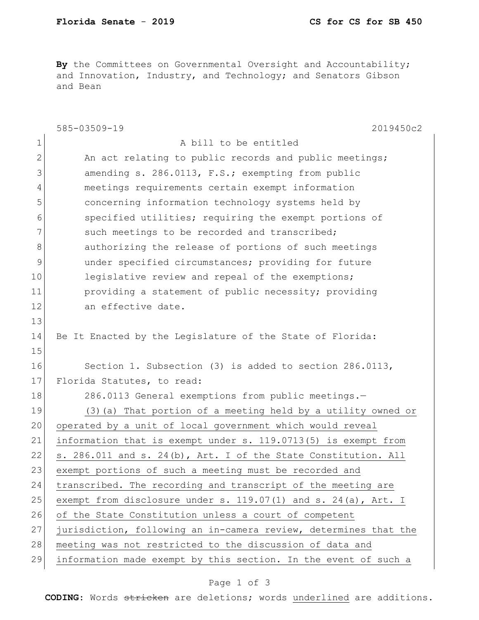By the Committees on Governmental Oversight and Accountability; and Innovation, Industry, and Technology; and Senators Gibson and Bean

|              | 585-03509-19<br>2019450c2                                        |
|--------------|------------------------------------------------------------------|
| $\mathbf 1$  | A bill to be entitled                                            |
| $\mathbf{2}$ | An act relating to public records and public meetings;           |
| 3            | amending s. 286.0113, F.S.; exempting from public                |
| 4            | meetings requirements certain exempt information                 |
| 5            | concerning information technology systems held by                |
| 6            | specified utilities; requiring the exempt portions of            |
| 7            | such meetings to be recorded and transcribed;                    |
| 8            | authorizing the release of portions of such meetings             |
| 9            | under specified circumstances; providing for future              |
| 10           | legislative review and repeal of the exemptions;                 |
| 11           | providing a statement of public necessity; providing             |
| 12           | an effective date.                                               |
| 13           |                                                                  |
| 14           | Be It Enacted by the Legislature of the State of Florida:        |
| 15           |                                                                  |
| 16           | Section 1. Subsection (3) is added to section 286.0113,          |
| 17           | Florida Statutes, to read:                                       |
| 18           | 286.0113 General exemptions from public meetings.-               |
| 19           | (3) (a) That portion of a meeting held by a utility owned or     |
| 20           | operated by a unit of local government which would reveal        |
| 21           | information that is exempt under s. 119.0713(5) is exempt from   |
| 22           | s. 286.011 and s. 24(b), Art. I of the State Constitution. All   |
| 23           | exempt portions of such a meeting must be recorded and           |
| 24           | transcribed. The recording and transcript of the meeting are     |
| 25           | exempt from disclosure under s. 119.07(1) and s. 24(a), Art. I   |
| 26           | of the State Constitution unless a court of competent            |
| 27           | jurisdiction, following an in-camera review, determines that the |
| 28           | meeting was not restricted to the discussion of data and         |
| 29           | information made exempt by this section. In the event of such a  |

## Page 1 of 3

**CODING**: Words stricken are deletions; words underlined are additions.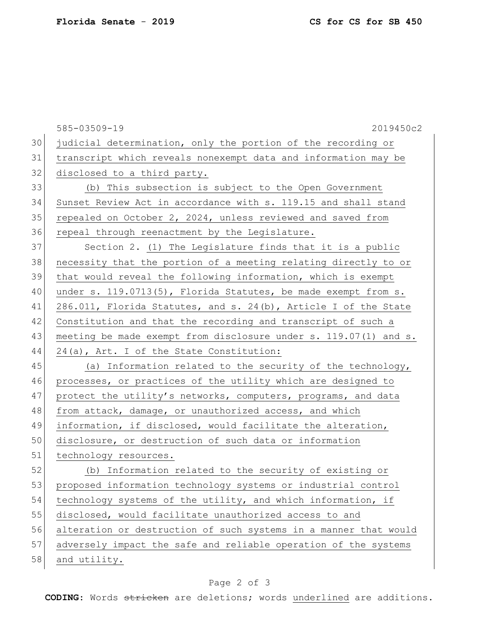|    | 585-03509-19<br>2019450c2                                        |
|----|------------------------------------------------------------------|
| 30 | judicial determination, only the portion of the recording or     |
| 31 | transcript which reveals nonexempt data and information may be   |
| 32 | disclosed to a third party.                                      |
| 33 | (b) This subsection is subject to the Open Government            |
| 34 | Sunset Review Act in accordance with s. 119.15 and shall stand   |
| 35 | repealed on October 2, 2024, unless reviewed and saved from      |
| 36 | repeal through reenactment by the Legislature.                   |
| 37 | Section 2. (1) The Legislature finds that it is a public         |
| 38 | necessity that the portion of a meeting relating directly to or  |
| 39 | that would reveal the following information, which is exempt     |
| 40 | under s. 119.0713(5), Florida Statutes, be made exempt from s.   |
| 41 | 286.011, Florida Statutes, and s. 24(b), Article I of the State  |
| 42 | Constitution and that the recording and transcript of such a     |
| 43 | meeting be made exempt from disclosure under s. 119.07(1) and s. |
| 44 | 24(a), Art. I of the State Constitution:                         |
| 45 | (a) Information related to the security of the technology,       |
| 46 | processes, or practices of the utility which are designed to     |
| 47 | protect the utility's networks, computers, programs, and data    |
| 48 | from attack, damage, or unauthorized access, and which           |
| 49 | information, if disclosed, would facilitate the alteration,      |
| 50 | disclosure, or destruction of such data or information           |
| 51 | technology resources.                                            |
| 52 | (b) Information related to the security of existing or           |
| 53 | proposed information technology systems or industrial control    |
| 54 | technology systems of the utility, and which information, if     |
| 55 | disclosed, would facilitate unauthorized access to and           |
| 56 | alteration or destruction of such systems in a manner that would |
| 57 | adversely impact the safe and reliable operation of the systems  |
| 58 | and utility.                                                     |

## Page 2 of 3

**CODING**: Words stricken are deletions; words underlined are additions.